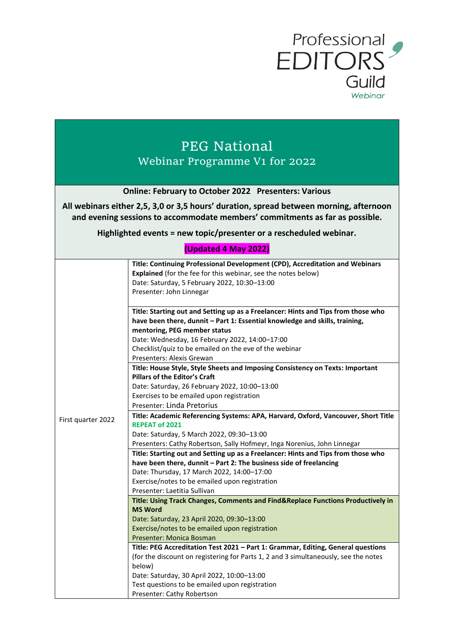

# PEG National Webinar Programme V1 for 2022

| <b>Online: February to October 2022 Presenters: Various</b>                            |
|----------------------------------------------------------------------------------------|
| All webinars either 2,5, 3,0 or 3,5 hours' duration, spread between morning, afternoon |
| and evening sessions to accommodate members' commitments as far as possible.           |

## **Highlighted events = new topic/presenter or a rescheduled webinar.**

### **(Updated 4 May 2022)**

| Title: Continuing Professional Development (CPD), Accreditation and Webinars        |
|-------------------------------------------------------------------------------------|
| Explained (for the fee for this webinar, see the notes below)                       |
| Date: Saturday, 5 February 2022, 10:30-13:00                                        |
| Presenter: John Linnegar                                                            |
|                                                                                     |
| Title: Starting out and Setting up as a Freelancer: Hints and Tips from those who   |
| have been there, dunnit - Part 1: Essential knowledge and skills, training,         |
| mentoring, PEG member status                                                        |
| Date: Wednesday, 16 February 2022, 14:00-17:00                                      |
| Checklist/quiz to be emailed on the eve of the webinar                              |
| Presenters: Alexis Grewan                                                           |
| Title: House Style, Style Sheets and Imposing Consistency on Texts: Important       |
| <b>Pillars of the Editor's Craft</b>                                                |
| Date: Saturday, 26 February 2022, 10:00-13:00                                       |
| Exercises to be emailed upon registration                                           |
| Presenter: Linda Pretorius                                                          |
| Title: Academic Referencing Systems: APA, Harvard, Oxford, Vancouver, Short Title   |
| <b>REPEAT of 2021</b>                                                               |
| Date: Saturday, 5 March 2022, 09:30-13:00                                           |
| Presenters: Cathy Robertson, Sally Hofmeyr, Inga Norenius, John Linnegar            |
| Title: Starting out and Setting up as a Freelancer: Hints and Tips from those who   |
| have been there, dunnit - Part 2: The business side of freelancing                  |
| Date: Thursday, 17 March 2022, 14:00-17:00                                          |
| Exercise/notes to be emailed upon registration                                      |
| Presenter: Laetitia Sullivan                                                        |
| Title: Using Track Changes, Comments and Find&Replace Functions Productively in     |
| <b>MS Word</b>                                                                      |
| Date: Saturday, 23 April 2020, 09:30-13:00                                          |
| Exercise/notes to be emailed upon registration                                      |
| Presenter: Monica Bosman                                                            |
| Title: PEG Accreditation Test 2021 - Part 1: Grammar, Editing, General questions    |
| (for the discount on registering for Parts 1, 2 and 3 simultaneously, see the notes |
| below)                                                                              |
| Date: Saturday, 30 April 2022, 10:00-13:00                                          |
| Test questions to be emailed upon registration                                      |
| Presenter: Cathy Robertson                                                          |
|                                                                                     |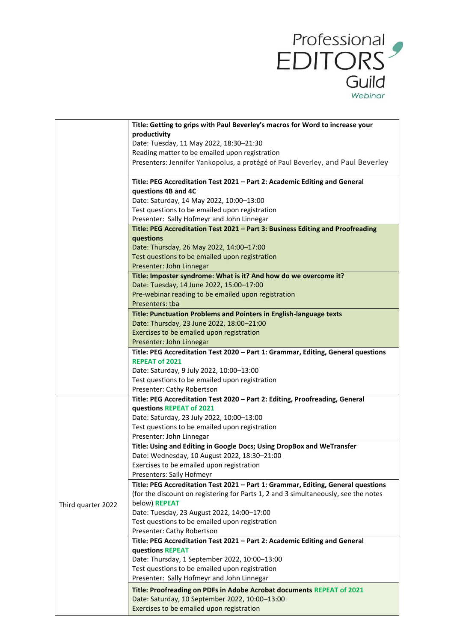

|                    | Title: Getting to grips with Paul Beverley's macros for Word to increase your              |
|--------------------|--------------------------------------------------------------------------------------------|
|                    | productivity                                                                               |
|                    | Date: Tuesday, 11 May 2022, 18:30-21:30                                                    |
|                    | Reading matter to be emailed upon registration                                             |
|                    | Presenters: Jennifer Yankopolus, a protégé of Paul Beverley, and Paul Beverley             |
|                    | Title: PEG Accreditation Test 2021 - Part 2: Academic Editing and General                  |
|                    | questions 4B and 4C                                                                        |
|                    | Date: Saturday, 14 May 2022, 10:00-13:00<br>Test questions to be emailed upon registration |
|                    | Presenter: Sally Hofmeyr and John Linnegar                                                 |
|                    | Title: PEG Accreditation Test 2021 - Part 3: Business Editing and Proofreading             |
|                    | questions                                                                                  |
|                    | Date: Thursday, 26 May 2022, 14:00-17:00                                                   |
|                    | Test questions to be emailed upon registration                                             |
|                    | Presenter: John Linnegar                                                                   |
|                    | Title: Imposter syndrome: What is it? And how do we overcome it?                           |
|                    | Date: Tuesday, 14 June 2022, 15:00-17:00                                                   |
|                    | Pre-webinar reading to be emailed upon registration                                        |
|                    | Presenters: tba                                                                            |
|                    | Title: Punctuation Problems and Pointers in English-language texts                         |
|                    | Date: Thursday, 23 June 2022, 18:00-21:00                                                  |
|                    | Exercises to be emailed upon registration                                                  |
|                    | Presenter: John Linnegar                                                                   |
|                    | Title: PEG Accreditation Test 2020 - Part 1: Grammar, Editing, General questions           |
|                    | <b>REPEAT of 2021</b>                                                                      |
|                    | Date: Saturday, 9 July 2022, 10:00-13:00                                                   |
|                    | Test questions to be emailed upon registration                                             |
|                    | Presenter: Cathy Robertson                                                                 |
|                    | Title: PEG Accreditation Test 2020 - Part 2: Editing, Proofreading, General                |
|                    | questions REPEAT of 2021                                                                   |
|                    | Date: Saturday, 23 July 2022, 10:00-13:00                                                  |
|                    | Test questions to be emailed upon registration                                             |
|                    | Presenter: John Linnegar                                                                   |
|                    | Title: Using and Editing in Google Docs; Using DropBox and WeTransfer                      |
|                    | Date: Wednesday, 10 August 2022, 18:30-21:00                                               |
|                    | Exercises to be emailed upon registration                                                  |
|                    | Presenters: Sally Hofmeyr                                                                  |
|                    | Title: PEG Accreditation Test 2021 - Part 1: Grammar, Editing, General questions           |
|                    | (for the discount on registering for Parts 1, 2 and 3 simultaneously, see the notes        |
| Third quarter 2022 | below) REPEAT<br>Date: Tuesday, 23 August 2022, 14:00-17:00                                |
|                    | Test questions to be emailed upon registration                                             |
|                    | Presenter: Cathy Robertson                                                                 |
|                    | Title: PEG Accreditation Test 2021 - Part 2: Academic Editing and General                  |
|                    | questions REPEAT                                                                           |
|                    | Date: Thursday, 1 September 2022, 10:00-13:00                                              |
|                    | Test questions to be emailed upon registration                                             |
|                    | Presenter: Sally Hofmeyr and John Linnegar                                                 |
|                    | Title: Proofreading on PDFs in Adobe Acrobat documents REPEAT of 2021                      |
|                    | Date: Saturday, 10 September 2022, 10:00-13:00                                             |
|                    | Exercises to be emailed upon registration                                                  |
|                    |                                                                                            |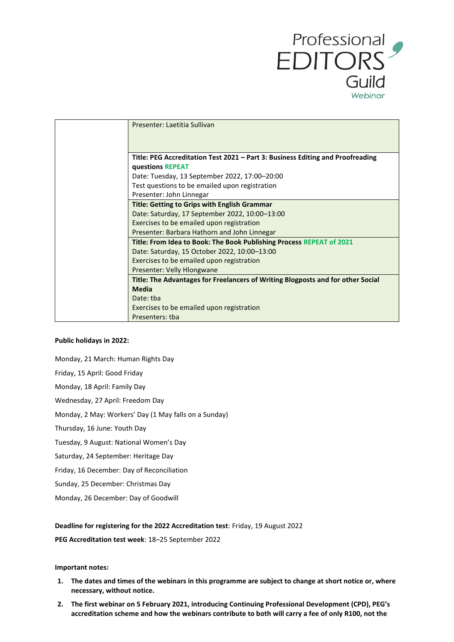

| Presenter: Laetitia Sullivan                                                    |
|---------------------------------------------------------------------------------|
|                                                                                 |
| Title: PEG Accreditation Test 2021 – Part 3: Business Editing and Proofreading  |
| questions REPEAT                                                                |
| Date: Tuesday, 13 September 2022, 17:00-20:00                                   |
| Test questions to be emailed upon registration                                  |
| Presenter: John Linnegar                                                        |
| <b>Title: Getting to Grips with English Grammar</b>                             |
| Date: Saturday, 17 September 2022, 10:00-13:00                                  |
| Exercises to be emailed upon registration                                       |
| Presenter: Barbara Hathorn and John Linnegar                                    |
| Title: From Idea to Book: The Book Publishing Process REPEAT of 2021            |
| Date: Saturday, 15 October 2022, 10:00-13:00                                    |
| Exercises to be emailed upon registration                                       |
| Presenter: Velly Hlongwane                                                      |
| Title: The Advantages for Freelancers of Writing Blogposts and for other Social |
| <b>Media</b>                                                                    |
| Date: tba                                                                       |
| Exercises to be emailed upon registration                                       |
| Presenters: tba                                                                 |

#### **Public holidays in 2022:**

Monday, 21 March: Human Rights Day Friday, 15 April: Good Friday Monday, 18 April: Family Day Wednesday, 27 April: Freedom Day Monday, 2 May: Workers' Day (1 May falls on a Sunday) Thursday, 16 June: Youth Day Tuesday, 9 August: National Women's Day Saturday, 24 September: Heritage Day Friday, 16 December: Day of Reconciliation Sunday, 25 December: Christmas Day Monday, 26 December: Day of Goodwill

#### **Deadline for registering for the 2022 Accreditation test**: Friday, 19 August 2022

**PEG Accreditation test week**: 18–25 September 2022

#### **Important notes:**

- **1. The dates and times of the webinars in this programme are subject to change at short notice or, where necessary, without notice.**
- **2. The first webinar on 5 February 2021, introducing Continuing Professional Development (CPD), PEG's accreditation scheme and how the webinars contribute to both will carry a fee of only R100, not the**